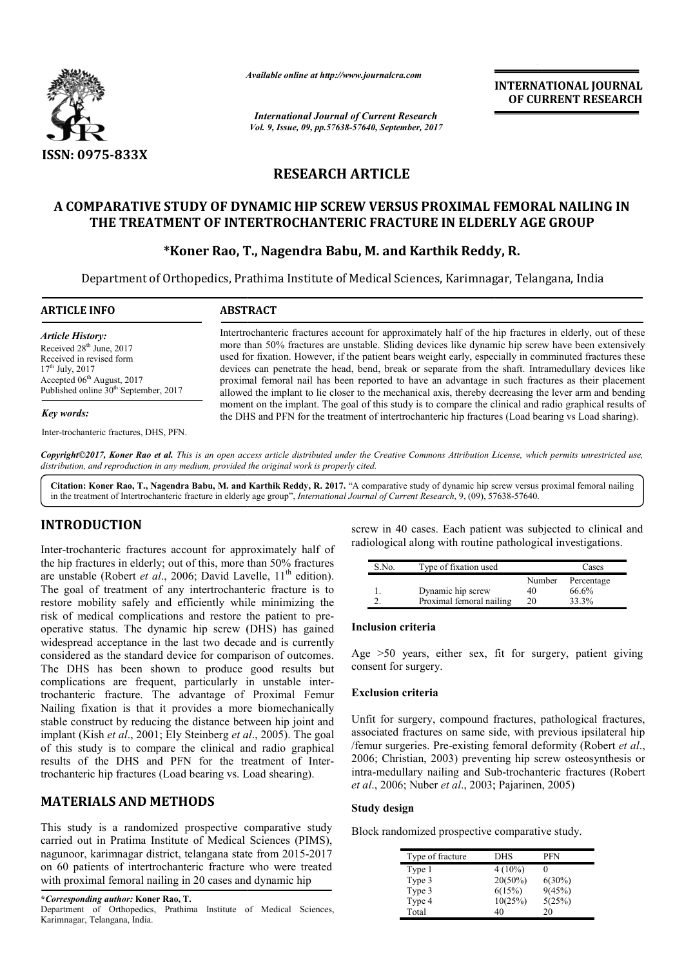

*Available online at http://www.journalcra.com*

*International Journal of Current Research Vol. 9, Issue, 09, pp.57638-57640, September, 2017* **INTERNATIONAL JOURNAL OF CURRENT RESEARCH**

## **RESEARCH ARTICLE**

# A COMPARATIVE STUDY OF DYNAMIC HIP SCREW VERSUS PROXIMAL FEMORAL NAILING IN<br>THE TREATMENT OF INTERTROCHANTERIC FRACTURE IN ELDERLY AGE GROUP<br>FKoner Rao, T., Nagendra Babu, M. and Karthik Reddy, R. **THE TREATMENT OF INTERTROCHANTERIC FRACTURE IN ELDERLY AGE GROUP**

## **\*Koner Rao, T. T., Nagendra Babu, M. and Karthik Reddy**

Department of Orthopedics, Prathima Institute of Medical Sciences, Karimnagar, Telangana, India

| <b>ARTICLE INFO</b>                                                                                                                                                                                             | <b>ABSTRACT</b>                                                                                                                                                                                                                                                                                                                                                                                                                                                                                                                                                                                                                                 |  |
|-----------------------------------------------------------------------------------------------------------------------------------------------------------------------------------------------------------------|-------------------------------------------------------------------------------------------------------------------------------------------------------------------------------------------------------------------------------------------------------------------------------------------------------------------------------------------------------------------------------------------------------------------------------------------------------------------------------------------------------------------------------------------------------------------------------------------------------------------------------------------------|--|
| <b>Article History:</b><br>Received 28 <sup>th</sup> June, 2017<br>Received in revised form<br>$17th$ July, 2017<br>Accepted 06 <sup>th</sup> August, 2017<br>Published online 30 <sup>th</sup> September, 2017 | Intertrochanteric fractures account for approximately half of the hip fractures in elderly, out of these<br>more than 50% fractures are unstable. Sliding devices like dynamic hip screw have been extensively<br>used for fixation. However, if the patient bears weight early, especially in comminuted fractures these<br>devices can penetrate the head, bend, break or separate from the shaft. Intramedullary devices like<br>proximal femoral nail has been reported to have an advantage in such fractures as their placement<br>allowed the implant to lie closer to the mechanical axis, thereby decreasing the lever arm and bending |  |
| Key words:                                                                                                                                                                                                      | moment on the implant. The goal of this study is to compare the clinical and radio graphical results of<br>the DHS and PFN for the treatment of intertrochanteric hip fractures (Load bearing vs Load sharing).                                                                                                                                                                                                                                                                                                                                                                                                                                 |  |
| Inter-trochanteric fractures, DHS, PFN.                                                                                                                                                                         |                                                                                                                                                                                                                                                                                                                                                                                                                                                                                                                                                                                                                                                 |  |

Copyright©2017, Koner Rao et al. This is an open access article distributed under the Creative Commons Attribution License, which permits unrestricted use, *distribution, and reproduction in any medium, provided the original work is properly cited.*

Citation: Koner Rao, T., Nagendra Babu, M. and Karthik Reddy, R. 2017. "A comparative study of dynamic hip screw versus proximal femoral nailing in the treatment of Intertrochanteric fracture in elderly age group", *Intern* in the treatment of Intertrochanteric fracture in elderly age group", *International Journal of Current Research*, 9, (09), 57

## **INTRODUCTION**

Inter-trochanteric fractures account for approximately half of the hip fractures in elderly; out of this, more than 50% fractures are unstable (Robert *et al.*, 2006; David Lavelle, 11<sup>th</sup> edition). The goal of treatment of any intertrochanteric fracture is to restore mobility safely and efficiently while minimizing the risk of medical complications and restore the patient to preoperative status. The dynamic hip screw (DHS) has gained widespread acceptance in the last two decade and is currently considered as the standard device for comparison of outcomes. The DHS has been shown to produce good results but complications are frequent, particularly in unstable inter trochanteric fracture. The advantage of Proximal Femur Nailing fixation is that it provides a more biomechanically stable construct by reducing the distance between hip joint and stable construct by reducing the distance between hip joint and implant (Kish *et al.*, 2001; Ely Steinberg *et al.*, 2005). The goal of this study is to compare the clinical and radio graphical results of the DHS and PFN for the treatment of Intertrochanteric hip fractures (Load bearing vs. Load shearing). e for comparison of outcomes.<br>
o produce good results but<br>
articularly in unstable inter-

## **MATERIALS AND METHODS**

This study is a randomized prospective comparative study carried out in Pratima Institute of Medical Sciences (PIMS), nagunoor, karimnagar district, telangana state from 2015 2015-2017 on 60 patients of intertrochanteric fracture who were treated with proximal femoral nailing in 20 cases and dynamic hip

screw in 40 cases. Each patient was subjected to clinical and radiological along with routine pathological investigations.<br>
5.No. Type of fixation used Cases radiological along with routine pathological investigations.

| S.No. | Type of fixation used    |        | Cases      |
|-------|--------------------------|--------|------------|
|       |                          | Number | Percentage |
|       | Dynamic hip screw        | 40     | 66.6%      |
|       | Proximal femoral nailing | 20     | 33.3%      |

#### **Inclusion criteria**

Age >50 years, either sex, fit for surgery, patient giving consent for surgery.

#### **Exclusion criteria**

Unfit for surgery, compound fractures, pathological fractures, Age >50 years, either sex, fit for surgery, patient giving<br>consent for surgery.<br>**Exclusion criteria**<br>Unfit for surgery, compound fractures, pathological fractures,<br>associated fractures on same side, with previous ipsilater /femur surgeries. Pre-existing femoral deformity (Robert *et al.*, 2006; Christian, 2003) preventing hip screw osteosynthesis or 2006; Christian, 2003) preventing hip screw osteosynthesis or intra-medullary nailing and Sub-trochanteric fractures (Robert *et al.*, 2006; Nuber *et al.*, 2003; Pajarinen, 2005)

#### **Study design**

Block randomized prospective comparative study. Block randomized

| Type of fracture | DHS        | PFN       |
|------------------|------------|-----------|
| Type 1           | $4(10\%)$  |           |
| Type 3           | $20(50\%)$ | $6(30\%)$ |
| Type 3           | 6(15%)     | 9(45%)    |
| Type 4           | 10(25%)    | 5(25%)    |
| Total            | 40         | 20        |

**<sup>\*</sup>***Corresponding author:* **Koner Rao, T.** Department of Orthopedics, Prathima Institute of Medical Sciences, Karimnagar, Telangana, India.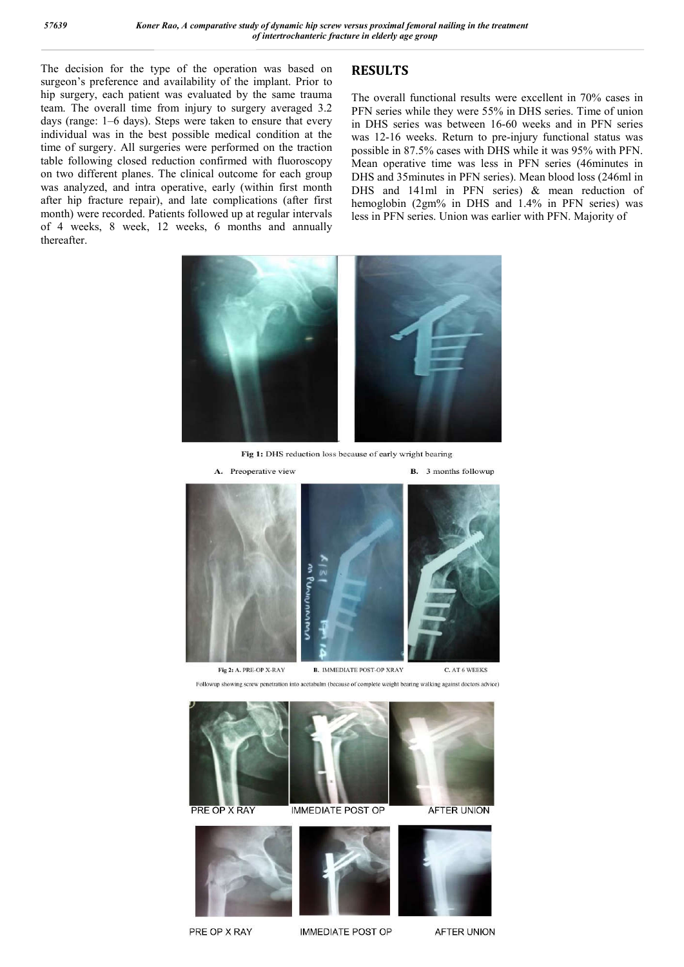The decision for the type of the operation was based on surgeon's preference and availability of the implant. Prior to hip surgery, each patient was evaluated by the same trauma team. The overall time from injury to surgery averaged 3.2 days (range: 1–6 days). Steps were taken to ensure that every individual was in the best possible medical condition at the time of surgery. All surgeries were performed on the traction table following closed reduction confirmed with fluoroscopy on two different planes. The clinical outcome for each group was analyzed, and intra operative, early (within first month after hip fracture repair), and late complications (after first month) were recorded. Patients followed up at regular intervals of 4 weeks, 8 week, 12 weeks, 6 months and annually thereafter.

## **RESULTS**

The overall functional results were excellent in 70% cases in PFN series while they were 55% in DHS series. Time of union in DHS series was between 16-60 weeks and in PFN series was 12-16 weeks. Return to pre-injury functional status was possible in 87.5% cases with DHS while it was 95% with PFN. Mean operative time was less in PFN series (46minutes in DHS and 35minutes in PFN series). Mean blood loss (246ml in DHS and 141ml in PFN series) & mean reduction of hemoglobin (2gm% in DHS and 1.4% in PFN series) was less in PFN series. Union was earlier with PFN. Majority of



Fig 1: DHS reduction loss because of early wright bearing



Followup showing screw penetration into acetabulm (because of complete weight bearing walking against doctors advice)









PRE OP X RAY

**IMMEDIATE POST OP** 

**AFTER UNION**